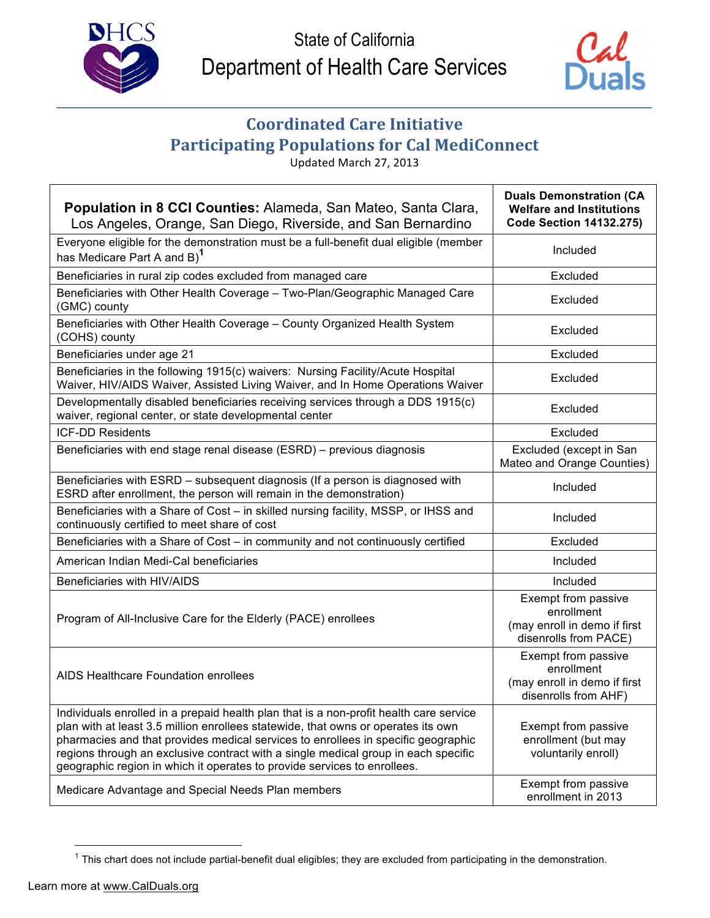



## **Coordinated Care Initiative Participating Populations for Cal MediConnect**

Updated March 27, 2013

| Population in 8 CCI Counties: Alameda, San Mateo, Santa Clara,<br>Los Angeles, Orange, San Diego, Riverside, and San Bernardino                                                                                                                                                                                                                                                                                                    | <b>Duals Demonstration (CA</b><br><b>Welfare and Institutions</b><br><b>Code Section 14132.275)</b> |
|------------------------------------------------------------------------------------------------------------------------------------------------------------------------------------------------------------------------------------------------------------------------------------------------------------------------------------------------------------------------------------------------------------------------------------|-----------------------------------------------------------------------------------------------------|
| Everyone eligible for the demonstration must be a full-benefit dual eligible (member<br>has Medicare Part A and B) <sup>1</sup>                                                                                                                                                                                                                                                                                                    | Included                                                                                            |
| Beneficiaries in rural zip codes excluded from managed care                                                                                                                                                                                                                                                                                                                                                                        | Excluded                                                                                            |
| Beneficiaries with Other Health Coverage - Two-Plan/Geographic Managed Care<br>(GMC) county                                                                                                                                                                                                                                                                                                                                        | Excluded                                                                                            |
| Beneficiaries with Other Health Coverage - County Organized Health System<br>(COHS) county                                                                                                                                                                                                                                                                                                                                         | Excluded                                                                                            |
| Beneficiaries under age 21                                                                                                                                                                                                                                                                                                                                                                                                         | Excluded                                                                                            |
| Beneficiaries in the following 1915(c) waivers: Nursing Facility/Acute Hospital<br>Waiver, HIV/AIDS Waiver, Assisted Living Waiver, and In Home Operations Waiver                                                                                                                                                                                                                                                                  | Excluded                                                                                            |
| Developmentally disabled beneficiaries receiving services through a DDS 1915(c)<br>waiver, regional center, or state developmental center                                                                                                                                                                                                                                                                                          | Excluded                                                                                            |
| <b>ICF-DD Residents</b>                                                                                                                                                                                                                                                                                                                                                                                                            | Excluded                                                                                            |
| Beneficiaries with end stage renal disease (ESRD) - previous diagnosis                                                                                                                                                                                                                                                                                                                                                             | Excluded (except in San<br>Mateo and Orange Counties)                                               |
| Beneficiaries with ESRD - subsequent diagnosis (If a person is diagnosed with<br>ESRD after enrollment, the person will remain in the demonstration)                                                                                                                                                                                                                                                                               | Included                                                                                            |
| Beneficiaries with a Share of Cost - in skilled nursing facility, MSSP, or IHSS and<br>continuously certified to meet share of cost                                                                                                                                                                                                                                                                                                | Included                                                                                            |
| Beneficiaries with a Share of Cost - in community and not continuously certified                                                                                                                                                                                                                                                                                                                                                   | Excluded                                                                                            |
| American Indian Medi-Cal beneficiaries                                                                                                                                                                                                                                                                                                                                                                                             | Included                                                                                            |
| Beneficiaries with HIV/AIDS                                                                                                                                                                                                                                                                                                                                                                                                        | Included                                                                                            |
| Program of All-Inclusive Care for the Elderly (PACE) enrollees                                                                                                                                                                                                                                                                                                                                                                     | Exempt from passive<br>enrollment<br>(may enroll in demo if first<br>disenrolls from PACE)          |
| AIDS Healthcare Foundation enrollees                                                                                                                                                                                                                                                                                                                                                                                               | Exempt from passive<br>enrollment<br>(may enroll in demo if first<br>disenrolls from AHF)           |
| Individuals enrolled in a prepaid health plan that is a non-profit health care service<br>plan with at least 3.5 million enrollees statewide, that owns or operates its own<br>pharmacies and that provides medical services to enrollees in specific geographic<br>regions through an exclusive contract with a single medical group in each specific<br>geographic region in which it operates to provide services to enrollees. | Exempt from passive<br>enrollment (but may<br>voluntarily enroll)                                   |
| Medicare Advantage and Special Needs Plan members                                                                                                                                                                                                                                                                                                                                                                                  | Exempt from passive<br>enrollment in 2013                                                           |

 $1$  This chart does not include partial-benefit dual eligibles; they are excluded from participating in the demonstration.